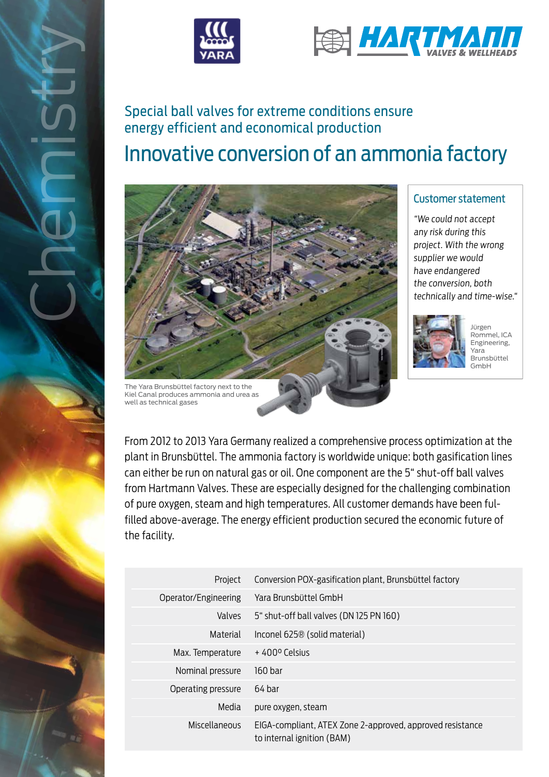



# Innovative conversion of an ammonia factory energy efficient and economical production



### Customer statement

"We could not accept any risk during this project. With the wrong supplier we would have endangered the conversion, both technically and time-wise."



Jürgen Rommel, ICA Engineering, Yara Brunsbüttel GmbH

From 2012 to 2013 Yara Germany realized a comprehensive process optimization at the plant in Brunsbüttel. The ammonia factory is worldwide unique: both gasification lines can either be run on natural gas or oil. One component are the 5" shut-off ball valves from Hartmann Valves. These are especially designed for the challenging combination of pure oxygen, steam and high temperatures. All customer demands have been fulfilled above-average. The energy efficient production secured the economic future of the facility.

| Project              | Conversion POX-gasification plant, Brunsbüttel factory                                  |
|----------------------|-----------------------------------------------------------------------------------------|
| Operator/Engineering | Yara Brunsbüttel GmbH                                                                   |
| Valves               | 5" shut-off ball valves (DN 125 PN 160)                                                 |
| Material             | Inconel 625 <sup>®</sup> (solid material)                                               |
| Max. Temperature     | $+400^{\circ}$ Celsius                                                                  |
| Nominal pressure     | 160 bar                                                                                 |
| Operating pressure   | 64 bar                                                                                  |
| Media                | pure oxygen, steam                                                                      |
| Miscellaneous        | EIGA-compliant, ATEX Zone 2-approved, approved resistance<br>to internal ignition (BAM) |